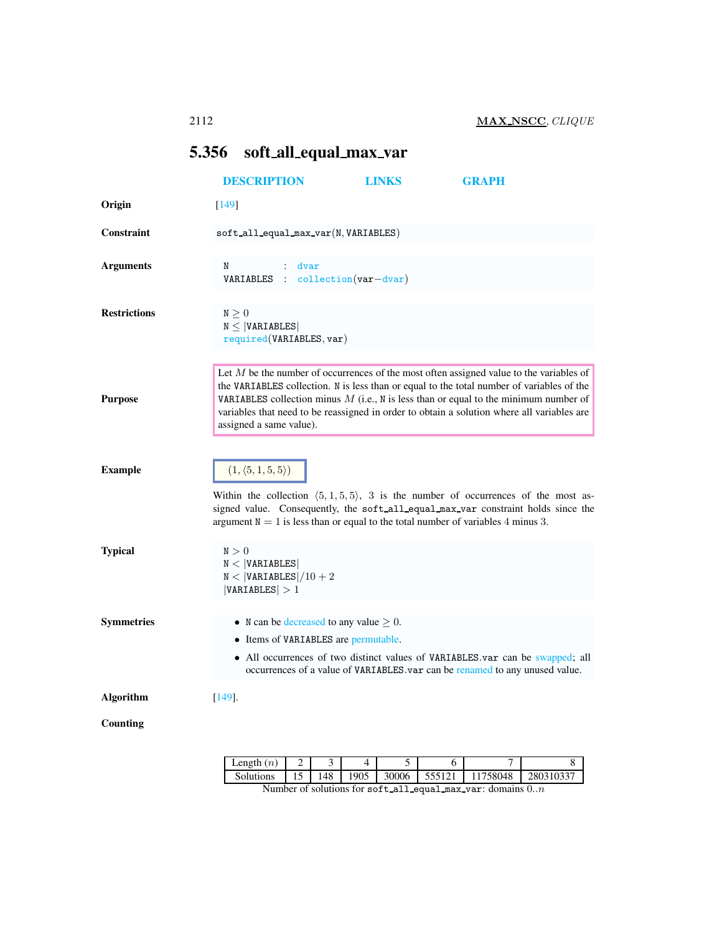## <span id="page-0-0"></span>5.356 soft all equal max var

|                     | <b>DESCRIPTION</b>                                                                                                                                                                                                                                                                                 | <b>LINKS</b> | <b>GRAPH</b>                                                                                                                                                                                                                                                                                                                                                                   |  |
|---------------------|----------------------------------------------------------------------------------------------------------------------------------------------------------------------------------------------------------------------------------------------------------------------------------------------------|--------------|--------------------------------------------------------------------------------------------------------------------------------------------------------------------------------------------------------------------------------------------------------------------------------------------------------------------------------------------------------------------------------|--|
| Origin              | $[149]$                                                                                                                                                                                                                                                                                            |              |                                                                                                                                                                                                                                                                                                                                                                                |  |
| Constraint          | $soft$ <sub>-all</sub> equal_max_var(N, VARIABLES)                                                                                                                                                                                                                                                 |              |                                                                                                                                                                                                                                                                                                                                                                                |  |
| <b>Arguments</b>    | N<br>dvar<br>VARIABLES : collection(var-dvar)                                                                                                                                                                                                                                                      |              |                                                                                                                                                                                                                                                                                                                                                                                |  |
| <b>Restrictions</b> | $\texttt{N}\geq 0$<br>$N \leq  VARIABLES $<br>required(VARIABLES, var)                                                                                                                                                                                                                             |              |                                                                                                                                                                                                                                                                                                                                                                                |  |
| <b>Purpose</b>      | assigned a same value).                                                                                                                                                                                                                                                                            |              | Let $M$ be the number of occurrences of the most often assigned value to the variables of<br>the VARIABLES collection. N is less than or equal to the total number of variables of the<br>VARIABLES collection minus $M$ (i.e., N is less than or equal to the minimum number of<br>variables that need to be reassigned in order to obtain a solution where all variables are |  |
| <b>Example</b>      | $(1, \langle 5, 1, 5, 5 \rangle)$<br>Within the collection $(5,1,5,5)$ , 3 is the number of occurrences of the most as-<br>signed value. Consequently, the soft all equal max var constraint holds since the<br>argument $N = 1$ is less than or equal to the total number of variables 4 minus 3. |              |                                                                                                                                                                                                                                                                                                                                                                                |  |
| <b>Typical</b>      | N > 0<br>N <  VARTABLES <br>$N <  VARTABLES /10 + 2$<br> VARIABLES  > 1                                                                                                                                                                                                                            |              |                                                                                                                                                                                                                                                                                                                                                                                |  |
| <b>Symmetries</b>   | • N can be decreased to any value $\geq 0$ .<br>• Items of VARIABLES are permutable.                                                                                                                                                                                                               |              | • All occurrences of two distinct values of VARIABLES.var can be swapped; all<br>occurrences of a value of VARIABLES.var can be renamed to any unused value.                                                                                                                                                                                                                   |  |
| <b>Algorithm</b>    | $[149]$ .                                                                                                                                                                                                                                                                                          |              |                                                                                                                                                                                                                                                                                                                                                                                |  |
| Counting            |                                                                                                                                                                                                                                                                                                    |              |                                                                                                                                                                                                                                                                                                                                                                                |  |

| Length $(n)$                                                 |  |     |      |       |        |          |           |
|--------------------------------------------------------------|--|-----|------|-------|--------|----------|-----------|
| Solutions                                                    |  | 148 | 1905 | 30006 | 555121 | 11758048 | 280310337 |
| Number of solutions for soft_all_equal_max_var: domains $0n$ |  |     |      |       |        |          |           |

Number of solutions for soft all equal max var: domains  $0..n$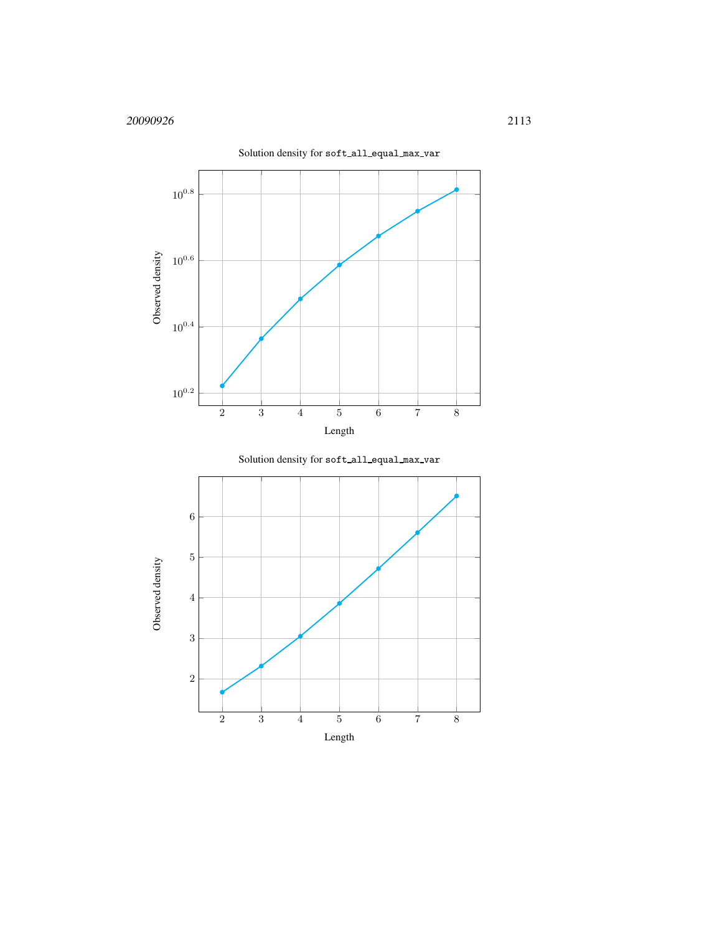



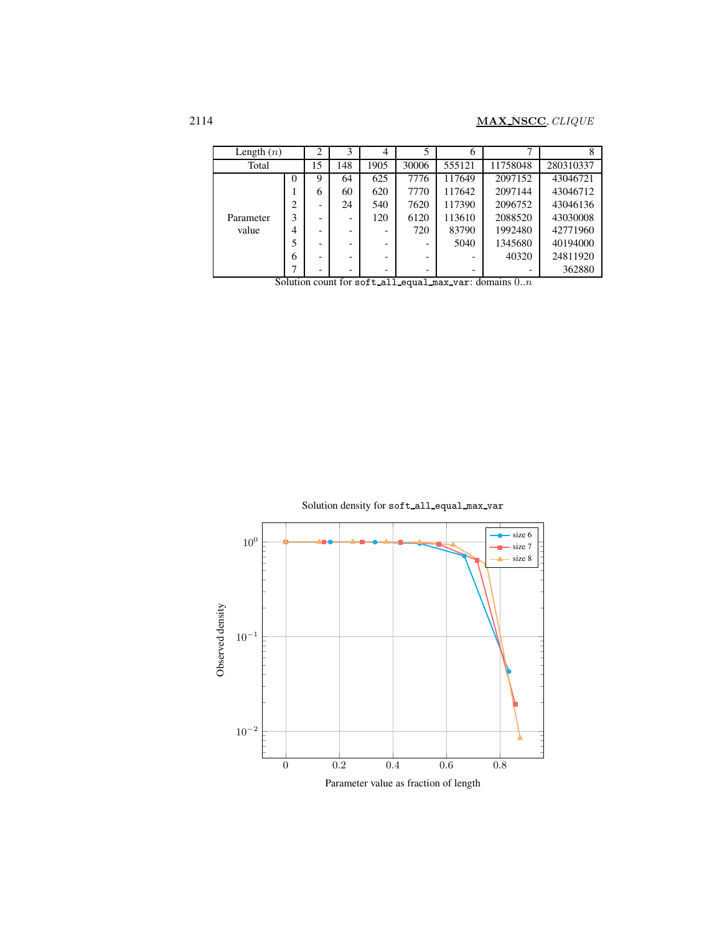| Length $(n)$       |   | $\overline{2}$ | 3                        | 4    |       | 6      |          |           |
|--------------------|---|----------------|--------------------------|------|-------|--------|----------|-----------|
| Total              |   | 15             | 148                      | 1905 | 30006 | 555121 | 11758048 | 280310337 |
| Parameter<br>value | 0 | 9              | 64                       | 625  | 7776  | 117649 | 2097152  | 43046721  |
|                    |   | 6              | 60                       | 620  | 7770  | 117642 | 2097144  | 43046712  |
|                    | 2 |                | 24                       | 540  | 7620  | 117390 | 2096752  | 43046136  |
|                    | 3 |                | $\overline{\phantom{a}}$ | 120  | 6120  | 113610 | 2088520  | 43030008  |
|                    | 4 | -              | -                        | -    | 720   | 83790  | 1992480  | 42771960  |
|                    | 5 |                | ۰                        | -    |       | 5040   | 1345680  | 40194000  |
|                    | 6 | -              | -                        | -    | -     |        | 40320    | 24811920  |
|                    | ┑ |                | -                        | -    |       | -      |          | 362880    |

Solution count for soft all equal max var: domains  $0..n$ 

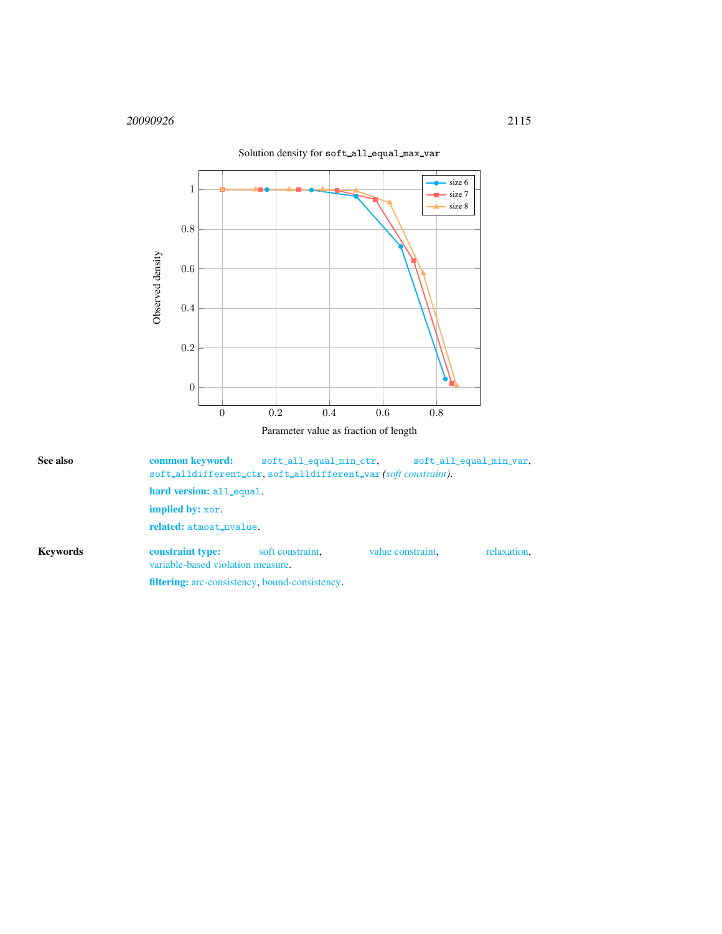

<span id="page-3-0"></span>

| See also        |                                                       | common keyword:<br>soft_all_equal_min_ctr,<br>soft_all_equal_min_var.<br>soft_alldifferent_ctr.soft_alldifferent_var(soft constraint). |                   |             |  |  |  |  |
|-----------------|-------------------------------------------------------|----------------------------------------------------------------------------------------------------------------------------------------|-------------------|-------------|--|--|--|--|
|                 |                                                       | hard version: all_equal.                                                                                                               |                   |             |  |  |  |  |
|                 | <b>implied by:</b> xor.                               |                                                                                                                                        |                   |             |  |  |  |  |
|                 | related: atmost_nvalue.                               |                                                                                                                                        |                   |             |  |  |  |  |
| <b>Keywords</b> | constraint type:<br>variable-based violation measure. | soft constraint.                                                                                                                       | value constraint. | relaxation. |  |  |  |  |
|                 | <b>filtering:</b> arc-consistency, bound-consistency. |                                                                                                                                        |                   |             |  |  |  |  |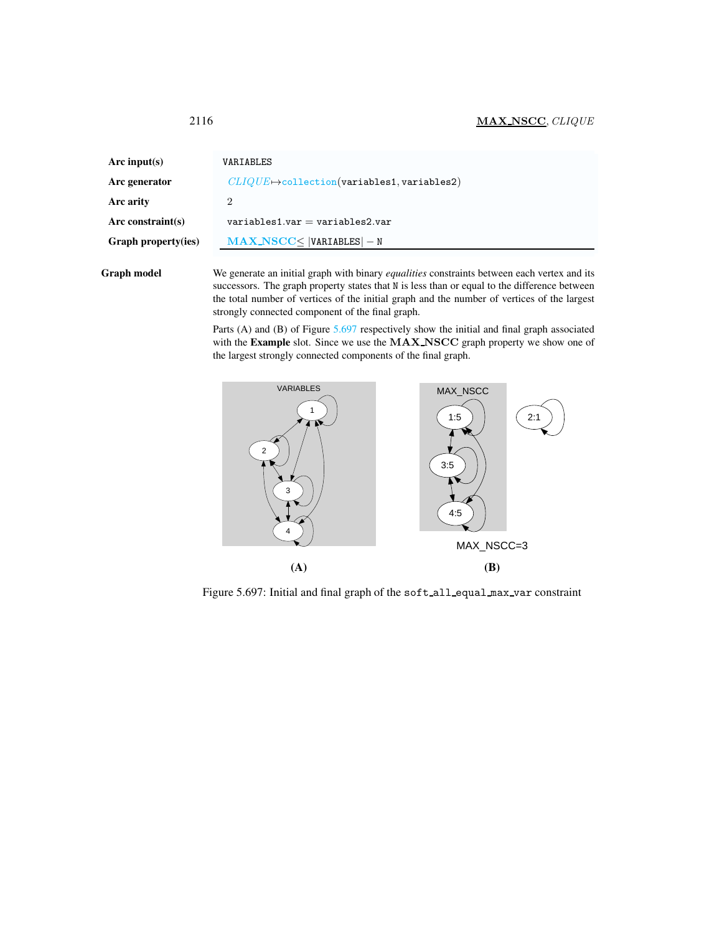<span id="page-4-0"></span>

| Arc input(s)        | VARIABLES                                                   |
|---------------------|-------------------------------------------------------------|
| Arc generator       | $CLIQUE \mapsto$ collection(variables1, variables2)         |
| Arc arity           | 2                                                           |
| Arc constraint(s)   | $variable$ s1.var = variables2.var                          |
| Graph property(ies) | $\textbf{MAX\_NSCC} \leq  \texttt{VARIABLES}  - \texttt{N}$ |
|                     |                                                             |

Graph model We generate an initial graph with binary *equalities* constraints between each vertex and its successors. The graph property states that N is less than or equal to the difference between the total number of vertices of the initial graph and the number of vertices of the largest strongly connected component of the final graph.

> Parts (A) and (B) of Figure [5.697](#page-4-1) respectively show the initial and final graph associated with the Example slot. Since we use the MAX NSCC graph property we show one of the largest strongly connected components of the final graph.



<span id="page-4-1"></span>Figure 5.697: Initial and final graph of the soft\_all\_equal\_max\_var constraint